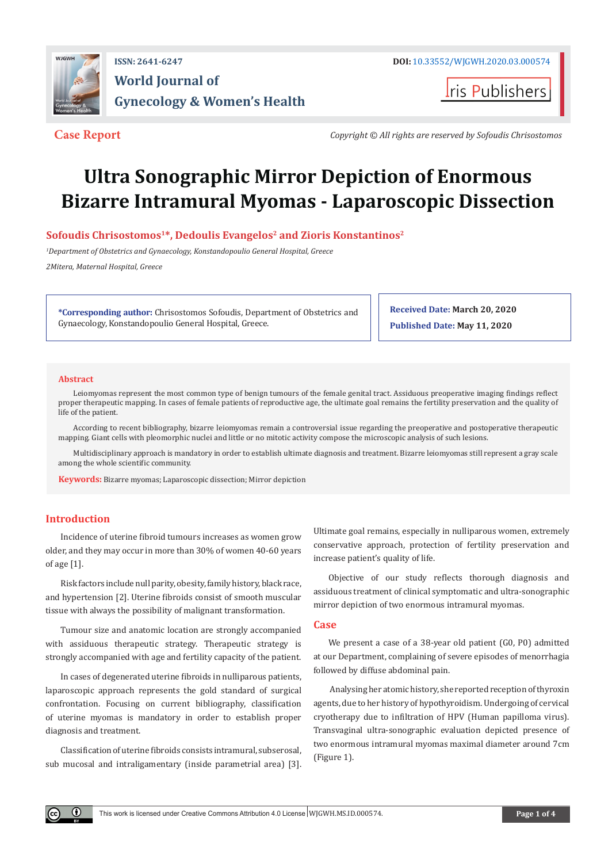

ris Publishers

**Case Report** *Copyright © All rights are reserved by Sofoudis Chrisostomos*

# **Ultra Sonographic Mirror Depiction of Enormous Bizarre Intramural Myomas - Laparoscopic Dissection**

# **Sofoudis Chrisostomos1\*, Dedoulis Evangelos2 and Zioris Konstantinos2**

*1 Department of Obstetrics and Gynaecology, Konstandopoulio General Hospital, Greece*

*2Mitera, Maternal Hospital, Greece* 

**\*Corresponding author:** Chrisostomos Sofoudis, Department of Obstetrics and Gynaecology, Konstandopoulio General Hospital, Greece.

**Received Date: March 20, 2020 Published Date: May 11, 2020**

#### **Abstract**

Leiomyomas represent the most common type of benign tumours of the female genital tract. Assiduous preoperative imaging findings reflect proper therapeutic mapping. In cases of female patients of reproductive age, the ultimate goal remains the fertility preservation and the quality of life of the patient.

According to recent bibliography, bizarre leiomyomas remain a controversial issue regarding the preoperative and postoperative therapeutic mapping. Giant cells with pleomorphic nuclei and little or no mitotic activity compose the microscopic analysis of such lesions.

Multidisciplinary approach is mandatory in order to establish ultimate diagnosis and treatment. Bizarre leiomyomas still represent a gray scale among the whole scientific community.

**Keywords:** Bizarre myomas; Laparoscopic dissection; Mirror depiction

# **Introduction**

G)

Incidence of uterine fibroid tumours increases as women grow older, and they may occur in more than 30% of women 40-60 years of age [1].

Risk factors include null parity, obesity, family history, black race, and hypertension [2]. Uterine fibroids consist of smooth muscular tissue with always the possibility of malignant transformation.

Tumour size and anatomic location are strongly accompanied with assiduous therapeutic strategy. Therapeutic strategy is strongly accompanied with age and fertility capacity of the patient.

In cases of degenerated uterine fibroids in nulliparous patients, laparoscopic approach represents the gold standard of surgical confrontation. Focusing on current bibliography, classification of uterine myomas is mandatory in order to establish proper diagnosis and treatment.

Classification of uterine fibroids consists intramural, subserosal, sub mucosal and intraligamentary (inside parametrial area) [3]. Ultimate goal remains, especially in nulliparous women, extremely conservative approach, protection of fertility preservation and increase patient's quality of life.

Objective of our study reflects thorough diagnosis and assiduous treatment of clinical symptomatic and ultra-sonographic mirror depiction of two enormous intramural myomas.

#### **Case**

We present a case of a 38-year old patient (G0, P0) admitted at our Department, complaining of severe episodes of menorrhagia followed by diffuse abdominal pain.

 Analysing her atomic history, she reported reception of thyroxin agents, due to her history of hypothyroidism. Undergoing of cervical cryotherapy due to infiltration of HPV (Human papilloma virus). Transvaginal ultra-sonographic evaluation depicted presence of two enormous intramural myomas maximal diameter around 7cm (Figure 1).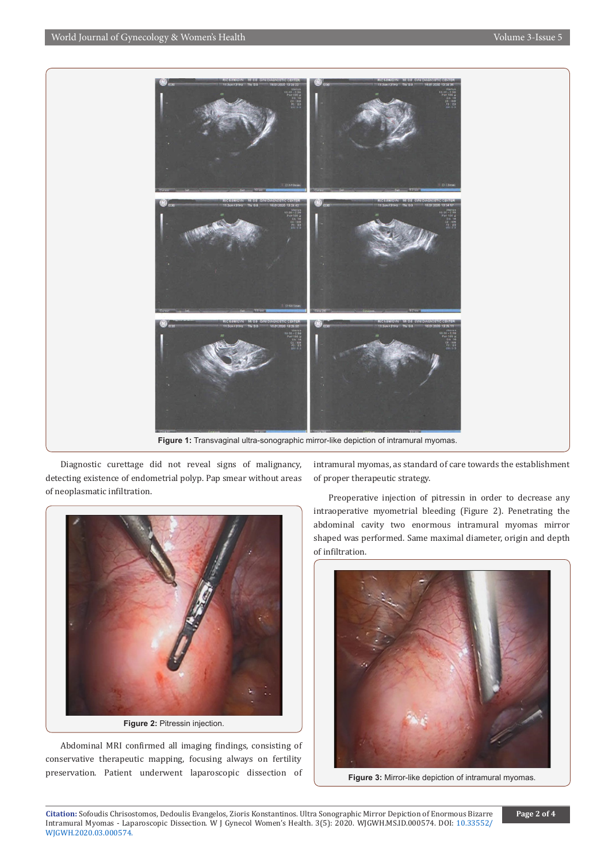

Diagnostic curettage did not reveal signs of malignancy, detecting existence of endometrial polyp. Pap smear without areas of neoplasmatic infiltration.



Abdominal MRI confirmed all imaging findings, consisting of conservative therapeutic mapping, focusing always on fertility preservation. Patient underwent laparoscopic dissection of intramural myomas, as standard of care towards the establishment of proper therapeutic strategy.

Preoperative injection of pitressin in order to decrease any intraoperative myometrial bleeding (Figure 2). Penetrating the abdominal cavity two enormous intramural myomas mirror shaped was performed. Same maximal diameter, origin and depth of infiltration.



**Figure 3:** Mirror-like depiction of intramural myomas.

**Citation:** Sofoudis Chrisostomos, Dedoulis Evangelos, Zioris Konstantinos. Ultra Sonographic Mirror Depiction of Enormous Bizarre Intramural Myomas - Laparoscopic Dissection. W J Gynecol Women's Health. 3(5): 2020. WJGWH.MS.ID.000574. DOI: [10.33552/](http://dx.doi.org/10.33552/WJGWH.2020.03.000574) [WJGWH.2020.03.000574](http://dx.doi.org/10.33552/WJGWH.2020.03.000574).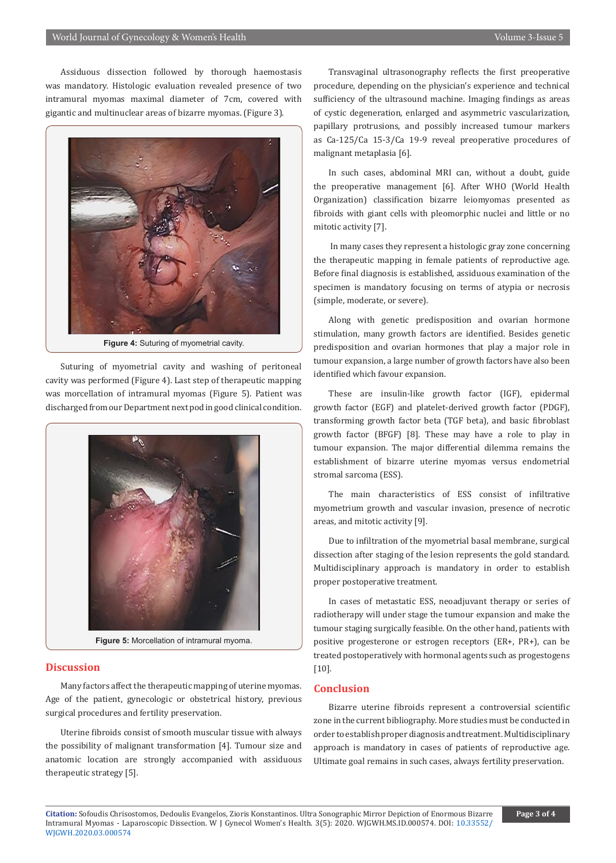Assiduous dissection followed by thorough haemostasis was mandatory. Histologic evaluation revealed presence of two intramural myomas maximal diameter of 7cm, covered with gigantic and multinuclear areas of bizarre myomas. (Figure 3).



**Figure 4:** Suturing of myometrial cavity.

Suturing of myometrial cavity and washing of peritoneal cavity was performed (Figure 4). Last step of therapeutic mapping was morcellation of intramural myomas (Figure 5). Patient was discharged from our Department next pod in good clinical condition.



**Figure 5:** Morcellation of intramural myoma.

### **Discussion**

Many factors affect the therapeutic mapping of uterine myomas. Age of the patient, gynecologic or obstetrical history, previous surgical procedures and fertility preservation.

Uterine fibroids consist of smooth muscular tissue with always the possibility of malignant transformation [4]. Tumour size and anatomic location are strongly accompanied with assiduous therapeutic strategy [5].

Transvaginal ultrasonography reflects the first preoperative procedure, depending on the physician's experience and technical sufficiency of the ultrasound machine. Imaging findings as areas of cystic degeneration, enlarged and asymmetric vascularization, papillary protrusions, and possibly increased tumour markers as Ca-125/Ca 15-3/Ca 19-9 reveal preoperative procedures of malignant metaplasia [6].

In such cases, abdominal MRI can, without a doubt, guide the preoperative management [6]. After WHO (World Health Organization) classification bizarre leiomyomas presented as fibroids with giant cells with pleomorphic nuclei and little or no mitotic activity [7].

 In many cases they represent a histologic gray zone concerning the therapeutic mapping in female patients of reproductive age. Before final diagnosis is established, assiduous examination of the specimen is mandatory focusing on terms of atypia or necrosis (simple, moderate, or severe).

Along with genetic predisposition and ovarian hormone stimulation, many growth factors are identified. Besides genetic predisposition and ovarian hormones that play a major role in tumour expansion, a large number of growth factors have also been identified which favour expansion.

These are insulin-like growth factor (IGF), epidermal growth factor (EGF) and platelet-derived growth factor (PDGF), transforming growth factor beta (TGF beta), and basic fibroblast growth factor (BFGF) [8]. These may have a role to play in tumour expansion. The major differential dilemma remains the establishment of bizarre uterine myomas versus endometrial stromal sarcoma (ESS).

The main characteristics of ESS consist of infiltrative myometrium growth and vascular invasion, presence of necrotic areas, and mitotic activity [9].

Due to infiltration of the myometrial basal membrane, surgical dissection after staging of the lesion represents the gold standard. Multidisciplinary approach is mandatory in order to establish proper postoperative treatment.

In cases of metastatic ESS, neoadjuvant therapy or series of radiotherapy will under stage the tumour expansion and make the tumour staging surgically feasible. On the other hand, patients with positive progesterone or estrogen receptors (ER+, PR+), can be treated postoperatively with hormonal agents such as progestogens [10].

#### **Conclusion**

Bizarre uterine fibroids represent a controversial scientific zone in the current bibliography. More studies must be conducted in order to establish proper diagnosis and treatment. Multidisciplinary approach is mandatory in cases of patients of reproductive age. Ultimate goal remains in such cases, always fertility preservation.

**Citation:** Sofoudis Chrisostomos, Dedoulis Evangelos, Zioris Konstantinos. Ultra Sonographic Mirror Depiction of Enormous Bizarre Intramural Myomas - Laparoscopic Dissection. W J Gynecol Women's Health. 3(5): 2020. WJGWH.MS.ID.000574. DOI: [10.33552/](http://dx.doi.org/10.33552/WJGWH.2020.03.000574) [WJGWH.2020.03.000574](http://dx.doi.org/10.33552/WJGWH.2020.03.000574)